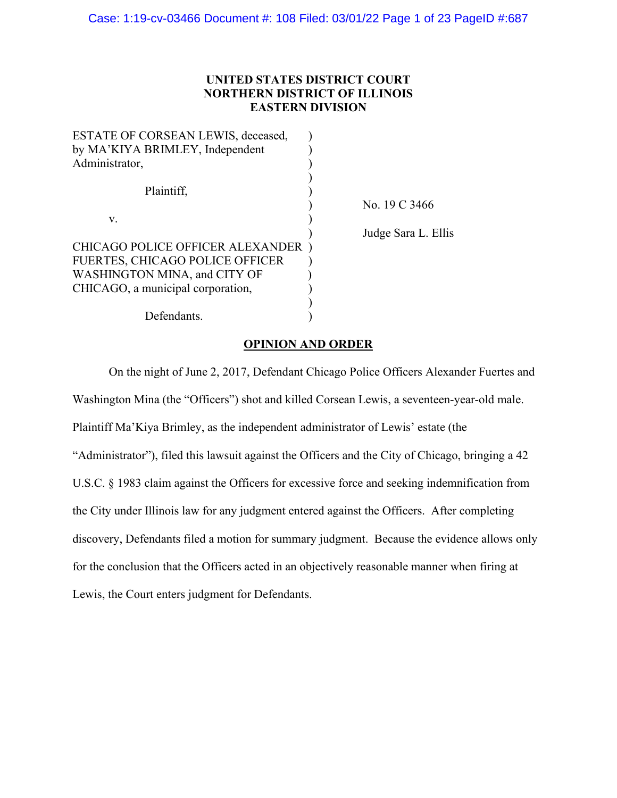# **UNITED STATES DISTRICT COURT NORTHERN DISTRICT OF ILLINOIS EASTERN DIVISION**

| ESTATE OF CORSEAN LEWIS, deceased,      |                     |
|-----------------------------------------|---------------------|
| by MA'KIYA BRIMLEY, Independent         |                     |
| Administrator,                          |                     |
|                                         |                     |
| Plaintiff,                              |                     |
|                                         | No. 19 C 3466       |
| V.                                      |                     |
|                                         | Judge Sara L. Ellis |
| <b>CHICAGO POLICE OFFICER ALEXANDER</b> |                     |
| <b>FUERTES, CHICAGO POLICE OFFICER</b>  |                     |
| WASHINGTON MINA, and CITY OF            |                     |
| CHICAGO, a municipal corporation,       |                     |
|                                         |                     |
| Defendants.                             |                     |
|                                         |                     |

# **OPINION AND ORDER**

On the night of June 2, 2017, Defendant Chicago Police Officers Alexander Fuertes and Washington Mina (the "Officers") shot and killed Corsean Lewis, a seventeen-year-old male. Plaintiff Ma'Kiya Brimley, as the independent administrator of Lewis' estate (the "Administrator"), filed this lawsuit against the Officers and the City of Chicago, bringing a 42 U.S.C. § 1983 claim against the Officers for excessive force and seeking indemnification from the City under Illinois law for any judgment entered against the Officers. After completing discovery, Defendants filed a motion for summary judgment. Because the evidence allows only for the conclusion that the Officers acted in an objectively reasonable manner when firing at Lewis, the Court enters judgment for Defendants.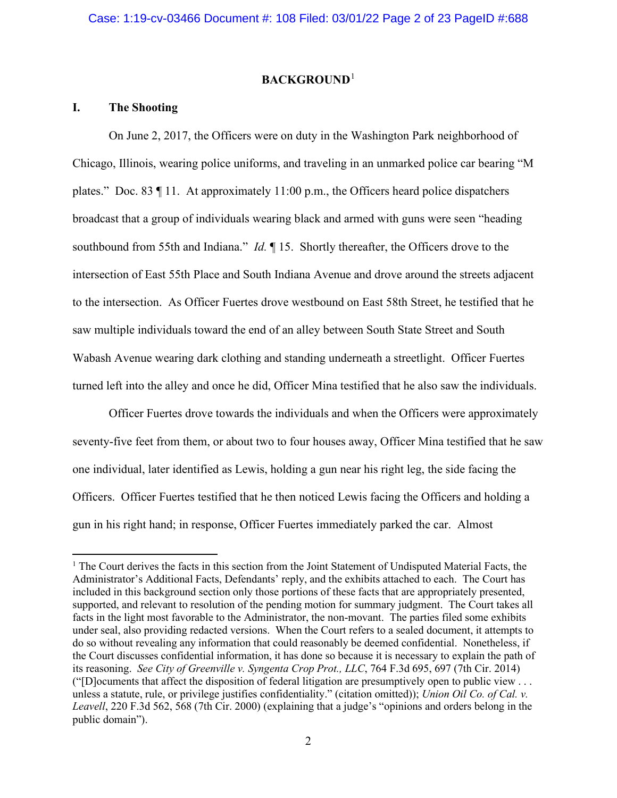# **BACKGROUND**[1](#page-1-0)

# **I. The Shooting**

On June 2, 2017, the Officers were on duty in the Washington Park neighborhood of Chicago, Illinois, wearing police uniforms, and traveling in an unmarked police car bearing "M plates." Doc. 83 ¶ 11. At approximately 11:00 p.m., the Officers heard police dispatchers broadcast that a group of individuals wearing black and armed with guns were seen "heading southbound from 55th and Indiana." *Id.* ¶ 15. Shortly thereafter, the Officers drove to the intersection of East 55th Place and South Indiana Avenue and drove around the streets adjacent to the intersection. As Officer Fuertes drove westbound on East 58th Street, he testified that he saw multiple individuals toward the end of an alley between South State Street and South Wabash Avenue wearing dark clothing and standing underneath a streetlight. Officer Fuertes turned left into the alley and once he did, Officer Mina testified that he also saw the individuals.

Officer Fuertes drove towards the individuals and when the Officers were approximately seventy-five feet from them, or about two to four houses away, Officer Mina testified that he saw one individual, later identified as Lewis, holding a gun near his right leg, the side facing the Officers. Officer Fuertes testified that he then noticed Lewis facing the Officers and holding a gun in his right hand; in response, Officer Fuertes immediately parked the car. Almost

<span id="page-1-0"></span> $<sup>1</sup>$  The Court derives the facts in this section from the Joint Statement of Undisputed Material Facts, the</sup> Administrator's Additional Facts, Defendants' reply, and the exhibits attached to each. The Court has included in this background section only those portions of these facts that are appropriately presented, supported, and relevant to resolution of the pending motion for summary judgment. The Court takes all facts in the light most favorable to the Administrator, the non-movant. The parties filed some exhibits under seal, also providing redacted versions. When the Court refers to a sealed document, it attempts to do so without revealing any information that could reasonably be deemed confidential. Nonetheless, if the Court discusses confidential information, it has done so because it is necessary to explain the path of its reasoning. *See City of Greenville v. Syngenta Crop Prot., LLC*, 764 F.3d 695, 697 (7th Cir. 2014) ("[D]ocuments that affect the disposition of federal litigation are presumptively open to public view . . . unless a statute, rule, or privilege justifies confidentiality." (citation omitted)); *Union Oil Co. of Cal. v. Leavell*, 220 F.3d 562, 568 (7th Cir. 2000) (explaining that a judge's "opinions and orders belong in the public domain").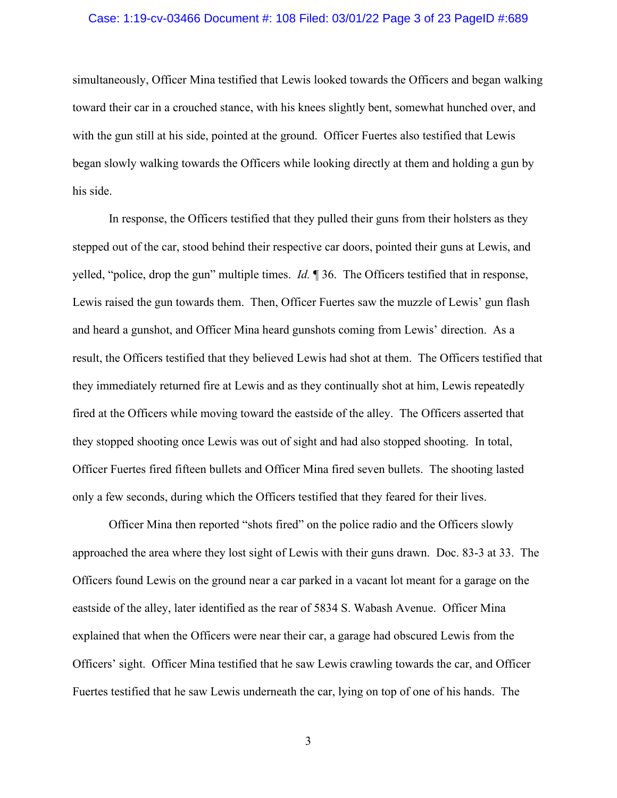# Case: 1:19-cv-03466 Document #: 108 Filed: 03/01/22 Page 3 of 23 PageID #:689

simultaneously, Officer Mina testified that Lewis looked towards the Officers and began walking toward their car in a crouched stance, with his knees slightly bent, somewhat hunched over, and with the gun still at his side, pointed at the ground. Officer Fuertes also testified that Lewis began slowly walking towards the Officers while looking directly at them and holding a gun by his side.

In response, the Officers testified that they pulled their guns from their holsters as they stepped out of the car, stood behind their respective car doors, pointed their guns at Lewis, and yelled, "police, drop the gun" multiple times. *Id.* ¶ 36. The Officers testified that in response, Lewis raised the gun towards them. Then, Officer Fuertes saw the muzzle of Lewis' gun flash and heard a gunshot, and Officer Mina heard gunshots coming from Lewis' direction. As a result, the Officers testified that they believed Lewis had shot at them. The Officers testified that they immediately returned fire at Lewis and as they continually shot at him, Lewis repeatedly fired at the Officers while moving toward the eastside of the alley. The Officers asserted that they stopped shooting once Lewis was out of sight and had also stopped shooting. In total, Officer Fuertes fired fifteen bullets and Officer Mina fired seven bullets. The shooting lasted only a few seconds, during which the Officers testified that they feared for their lives.

Officer Mina then reported "shots fired" on the police radio and the Officers slowly approached the area where they lost sight of Lewis with their guns drawn. Doc. 83-3 at 33. The Officers found Lewis on the ground near a car parked in a vacant lot meant for a garage on the eastside of the alley, later identified as the rear of 5834 S. Wabash Avenue. Officer Mina explained that when the Officers were near their car, a garage had obscured Lewis from the Officers' sight. Officer Mina testified that he saw Lewis crawling towards the car, and Officer Fuertes testified that he saw Lewis underneath the car, lying on top of one of his hands. The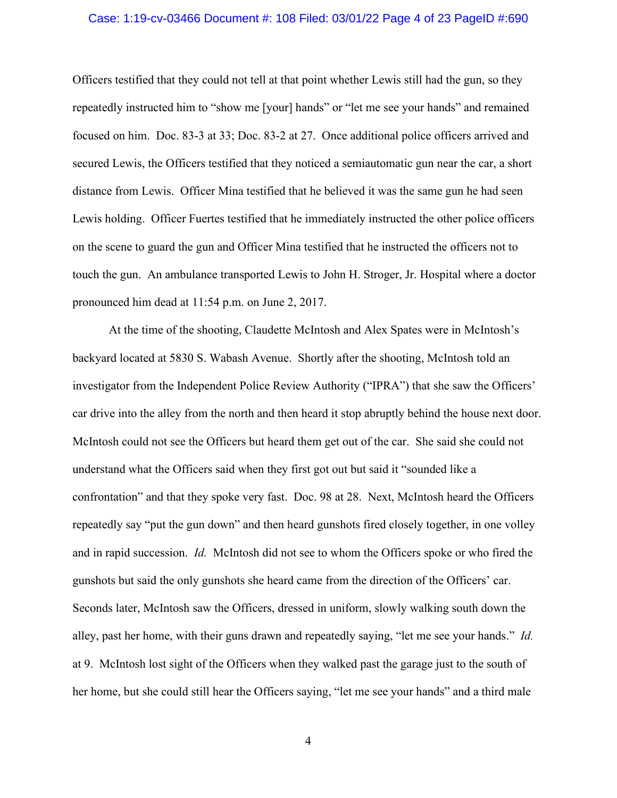# Case: 1:19-cv-03466 Document #: 108 Filed: 03/01/22 Page 4 of 23 PageID #:690

Officers testified that they could not tell at that point whether Lewis still had the gun, so they repeatedly instructed him to "show me [your] hands" or "let me see your hands" and remained focused on him. Doc. 83-3 at 33; Doc. 83-2 at 27. Once additional police officers arrived and secured Lewis, the Officers testified that they noticed a semiautomatic gun near the car, a short distance from Lewis. Officer Mina testified that he believed it was the same gun he had seen Lewis holding. Officer Fuertes testified that he immediately instructed the other police officers on the scene to guard the gun and Officer Mina testified that he instructed the officers not to touch the gun. An ambulance transported Lewis to John H. Stroger, Jr. Hospital where a doctor pronounced him dead at 11:54 p.m. on June 2, 2017.

At the time of the shooting, Claudette McIntosh and Alex Spates were in McIntosh's backyard located at 5830 S. Wabash Avenue. Shortly after the shooting, McIntosh told an investigator from the Independent Police Review Authority ("IPRA") that she saw the Officers' car drive into the alley from the north and then heard it stop abruptly behind the house next door. McIntosh could not see the Officers but heard them get out of the car. She said she could not understand what the Officers said when they first got out but said it "sounded like a confrontation" and that they spoke very fast. Doc. 98 at 28. Next, McIntosh heard the Officers repeatedly say "put the gun down" and then heard gunshots fired closely together, in one volley and in rapid succession. *Id.* McIntosh did not see to whom the Officers spoke or who fired the gunshots but said the only gunshots she heard came from the direction of the Officers' car. Seconds later, McIntosh saw the Officers, dressed in uniform, slowly walking south down the alley, past her home, with their guns drawn and repeatedly saying, "let me see your hands." *Id.*  at 9. McIntosh lost sight of the Officers when they walked past the garage just to the south of her home, but she could still hear the Officers saying, "let me see your hands" and a third male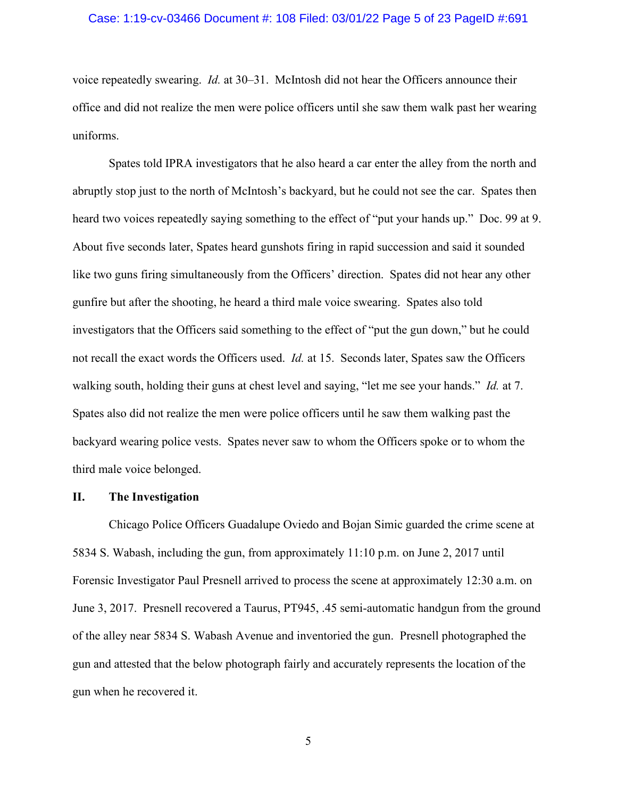# Case: 1:19-cv-03466 Document #: 108 Filed: 03/01/22 Page 5 of 23 PageID #:691

voice repeatedly swearing. *Id.* at 30–31. McIntosh did not hear the Officers announce their office and did not realize the men were police officers until she saw them walk past her wearing uniforms.

Spates told IPRA investigators that he also heard a car enter the alley from the north and abruptly stop just to the north of McIntosh's backyard, but he could not see the car. Spates then heard two voices repeatedly saying something to the effect of "put your hands up." Doc. 99 at 9. About five seconds later, Spates heard gunshots firing in rapid succession and said it sounded like two guns firing simultaneously from the Officers' direction. Spates did not hear any other gunfire but after the shooting, he heard a third male voice swearing. Spates also told investigators that the Officers said something to the effect of "put the gun down," but he could not recall the exact words the Officers used. *Id.* at 15. Seconds later, Spates saw the Officers walking south, holding their guns at chest level and saying, "let me see your hands." *Id.* at 7. Spates also did not realize the men were police officers until he saw them walking past the backyard wearing police vests. Spates never saw to whom the Officers spoke or to whom the third male voice belonged.

# **II. The Investigation**

Chicago Police Officers Guadalupe Oviedo and Bojan Simic guarded the crime scene at 5834 S. Wabash, including the gun, from approximately 11:10 p.m. on June 2, 2017 until Forensic Investigator Paul Presnell arrived to process the scene at approximately 12:30 a.m. on June 3, 2017. Presnell recovered a Taurus, PT945, .45 semi-automatic handgun from the ground of the alley near 5834 S. Wabash Avenue and inventoried the gun. Presnell photographed the gun and attested that the below photograph fairly and accurately represents the location of the gun when he recovered it.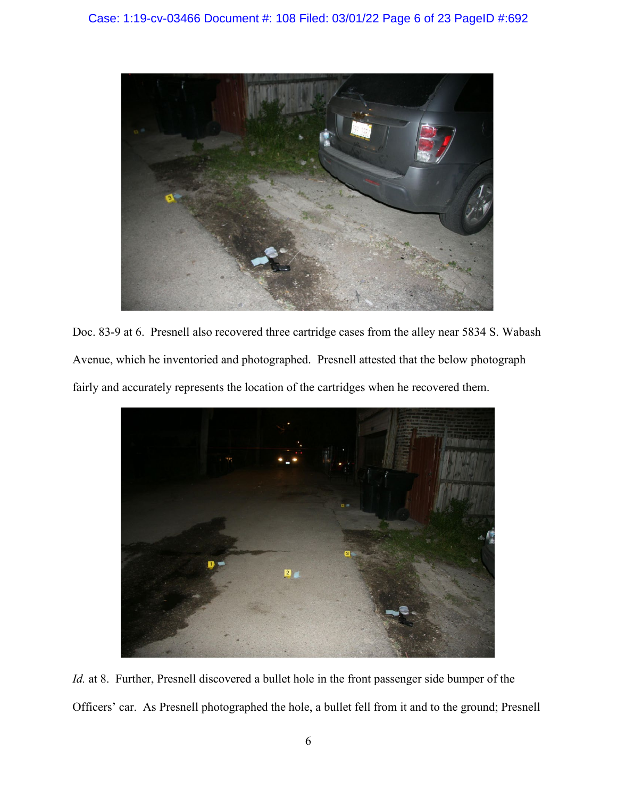

Doc. 83-9 at 6. Presnell also recovered three cartridge cases from the alley near 5834 S. Wabash Avenue, which he inventoried and photographed. Presnell attested that the below photograph fairly and accurately represents the location of the cartridges when he recovered them.



*Id.* at 8. Further, Presnell discovered a bullet hole in the front passenger side bumper of the Officers' car. As Presnell photographed the hole, a bullet fell from it and to the ground; Presnell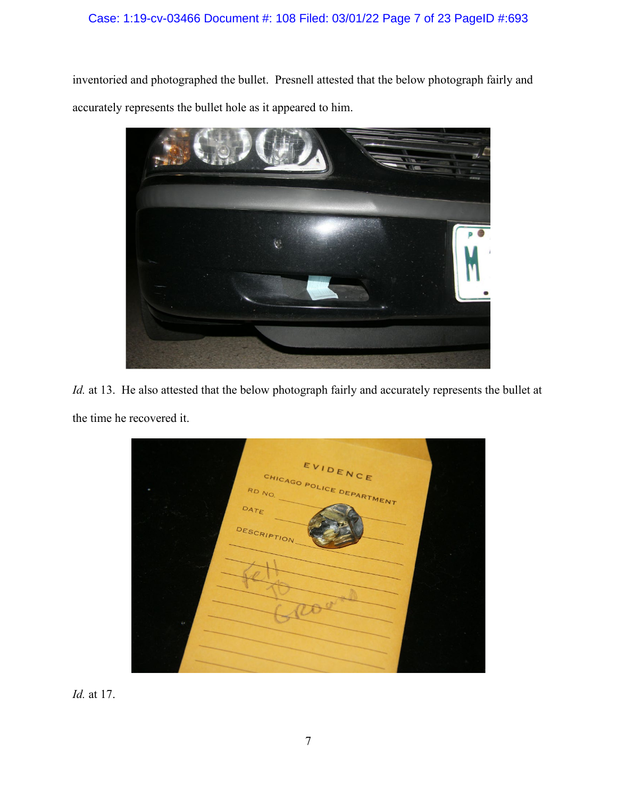# Case: 1:19-cv-03466 Document #: 108 Filed: 03/01/22 Page 7 of 23 PageID #:693

inventoried and photographed the bullet. Presnell attested that the below photograph fairly and accurately represents the bullet hole as it appeared to him.



*Id.* at 13. He also attested that the below photograph fairly and accurately represents the bullet at the time he recovered it.

EVIDENCE CHICAGO POLICE DEPARTMENT **RD** DATE DESCRIPT

*Id.* at 17.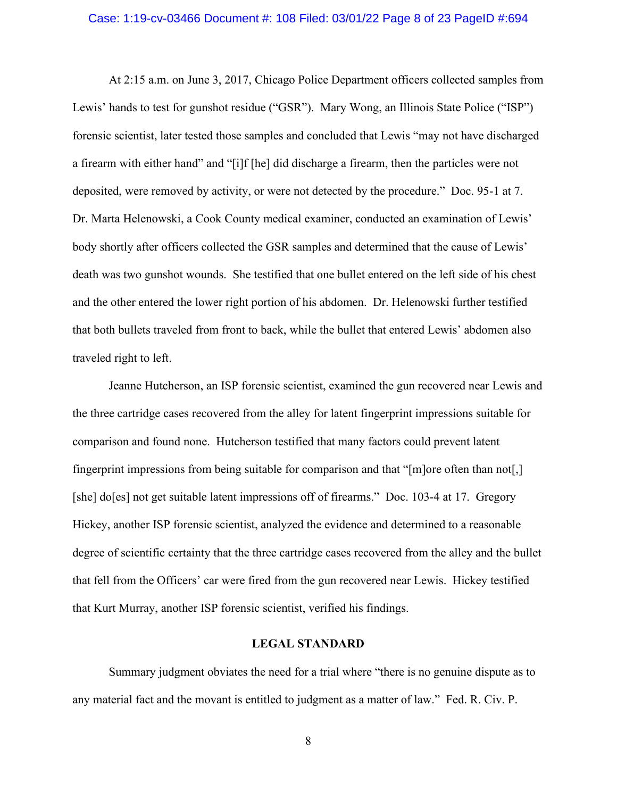#### Case: 1:19-cv-03466 Document #: 108 Filed: 03/01/22 Page 8 of 23 PageID #:694

At 2:15 a.m. on June 3, 2017, Chicago Police Department officers collected samples from Lewis' hands to test for gunshot residue ("GSR"). Mary Wong, an Illinois State Police ("ISP") forensic scientist, later tested those samples and concluded that Lewis "may not have discharged a firearm with either hand" and "[i]f [he] did discharge a firearm, then the particles were not deposited, were removed by activity, or were not detected by the procedure." Doc. 95-1 at 7. Dr. Marta Helenowski, a Cook County medical examiner, conducted an examination of Lewis' body shortly after officers collected the GSR samples and determined that the cause of Lewis' death was two gunshot wounds. She testified that one bullet entered on the left side of his chest and the other entered the lower right portion of his abdomen. Dr. Helenowski further testified that both bullets traveled from front to back, while the bullet that entered Lewis' abdomen also traveled right to left.

Jeanne Hutcherson, an ISP forensic scientist, examined the gun recovered near Lewis and the three cartridge cases recovered from the alley for latent fingerprint impressions suitable for comparison and found none. Hutcherson testified that many factors could prevent latent fingerprint impressions from being suitable for comparison and that "[m]ore often than not[,] [she] do[es] not get suitable latent impressions off of firearms." Doc. 103-4 at 17. Gregory Hickey, another ISP forensic scientist, analyzed the evidence and determined to a reasonable degree of scientific certainty that the three cartridge cases recovered from the alley and the bullet that fell from the Officers' car were fired from the gun recovered near Lewis. Hickey testified that Kurt Murray, another ISP forensic scientist, verified his findings.

# **LEGAL STANDARD**

Summary judgment obviates the need for a trial where "there is no genuine dispute as to any material fact and the movant is entitled to judgment as a matter of law." Fed. R. Civ. P.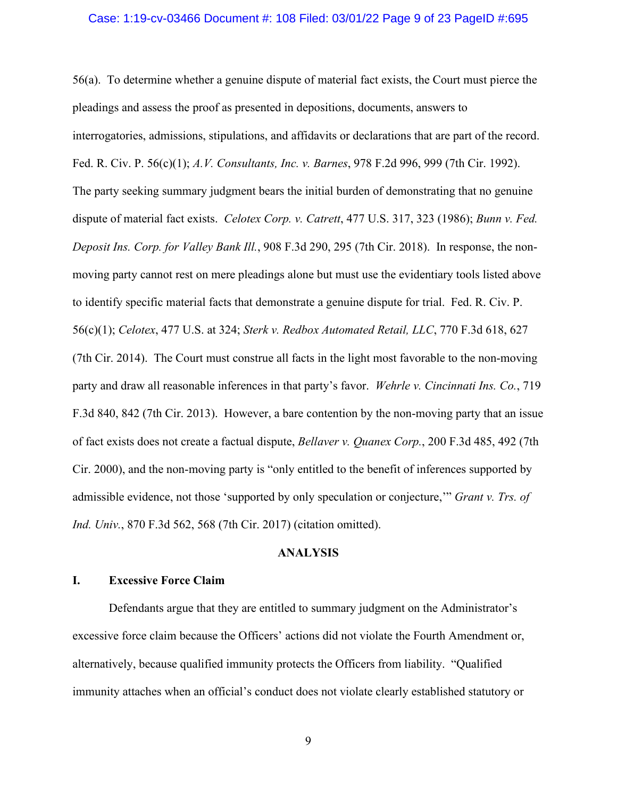## Case: 1:19-cv-03466 Document #: 108 Filed: 03/01/22 Page 9 of 23 PageID #:695

56(a). To determine whether a genuine dispute of material fact exists, the Court must pierce the pleadings and assess the proof as presented in depositions, documents, answers to interrogatories, admissions, stipulations, and affidavits or declarations that are part of the record. Fed. R. Civ. P. 56(c)(1); *A.V. Consultants, Inc. v. Barnes*, 978 F.2d 996, 999 (7th Cir. 1992). The party seeking summary judgment bears the initial burden of demonstrating that no genuine dispute of material fact exists. *Celotex Corp. v. Catrett*, 477 U.S. 317, 323 (1986); *Bunn v. Fed. Deposit Ins. Corp. for Valley Bank Ill.*, 908 F.3d 290, 295 (7th Cir. 2018). In response, the nonmoving party cannot rest on mere pleadings alone but must use the evidentiary tools listed above to identify specific material facts that demonstrate a genuine dispute for trial. Fed. R. Civ. P. 56(c)(1); *Celotex*, 477 U.S. at 324; *Sterk v. Redbox Automated Retail, LLC*, 770 F.3d 618, 627 (7th Cir. 2014). The Court must construe all facts in the light most favorable to the non-moving party and draw all reasonable inferences in that party's favor. *Wehrle v. Cincinnati Ins. Co.*, 719 F.3d 840, 842 (7th Cir. 2013). However, a bare contention by the non-moving party that an issue of fact exists does not create a factual dispute, *Bellaver v. Quanex Corp.*, 200 F.3d 485, 492 (7th Cir. 2000), and the non-moving party is "only entitled to the benefit of inferences supported by admissible evidence, not those 'supported by only speculation or conjecture,'" *Grant v. Trs. of Ind. Univ.*, 870 F.3d 562, 568 (7th Cir. 2017) (citation omitted).

# **ANALYSIS**

# **I. Excessive Force Claim**

Defendants argue that they are entitled to summary judgment on the Administrator's excessive force claim because the Officers' actions did not violate the Fourth Amendment or, alternatively, because qualified immunity protects the Officers from liability. "Qualified immunity attaches when an official's conduct does not violate clearly established statutory or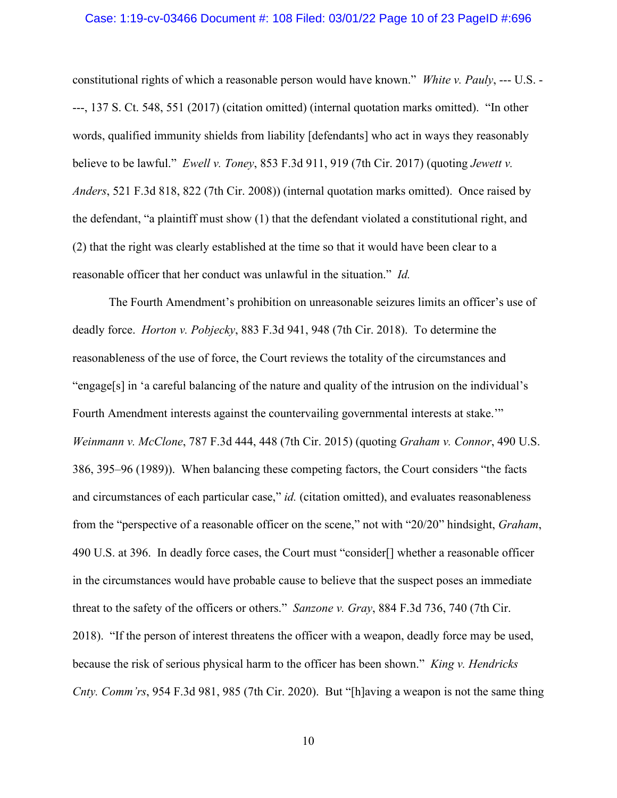#### Case: 1:19-cv-03466 Document #: 108 Filed: 03/01/22 Page 10 of 23 PageID #:696

constitutional rights of which a reasonable person would have known." *White v. Pauly*, --- U.S. - ---, 137 S. Ct. 548, 551 (2017) (citation omitted) (internal quotation marks omitted). "In other words, qualified immunity shields from liability [defendants] who act in ways they reasonably believe to be lawful." *Ewell v. Toney*, 853 F.3d 911, 919 (7th Cir. 2017) (quoting *Jewett v. Anders*, 521 F.3d 818, 822 (7th Cir. 2008)) (internal quotation marks omitted). Once raised by the defendant, "a plaintiff must show (1) that the defendant violated a constitutional right, and (2) that the right was clearly established at the time so that it would have been clear to a reasonable officer that her conduct was unlawful in the situation." *Id.*

The Fourth Amendment's prohibition on unreasonable seizures limits an officer's use of deadly force. *Horton v. Pobjecky*, 883 F.3d 941, 948 (7th Cir. 2018). To determine the reasonableness of the use of force, the Court reviews the totality of the circumstances and "engage[s] in 'a careful balancing of the nature and quality of the intrusion on the individual's Fourth Amendment interests against the countervailing governmental interests at stake." *Weinmann v. McClone*, 787 F.3d 444, 448 (7th Cir. 2015) (quoting *Graham v. Connor*, 490 U.S. 386, 395–96 (1989)). When balancing these competing factors, the Court considers "the facts and circumstances of each particular case," *id.* (citation omitted), and evaluates reasonableness from the "perspective of a reasonable officer on the scene," not with "20/20" hindsight, *Graham*, 490 U.S. at 396. In deadly force cases, the Court must "consider[] whether a reasonable officer in the circumstances would have probable cause to believe that the suspect poses an immediate threat to the safety of the officers or others." *Sanzone v. Gray*, 884 F.3d 736, 740 (7th Cir. 2018). "If the person of interest threatens the officer with a weapon, deadly force may be used, because the risk of serious physical harm to the officer has been shown." *King v. Hendricks Cnty. Comm'rs*, 954 F.3d 981, 985 (7th Cir. 2020). But "[h]aving a weapon is not the same thing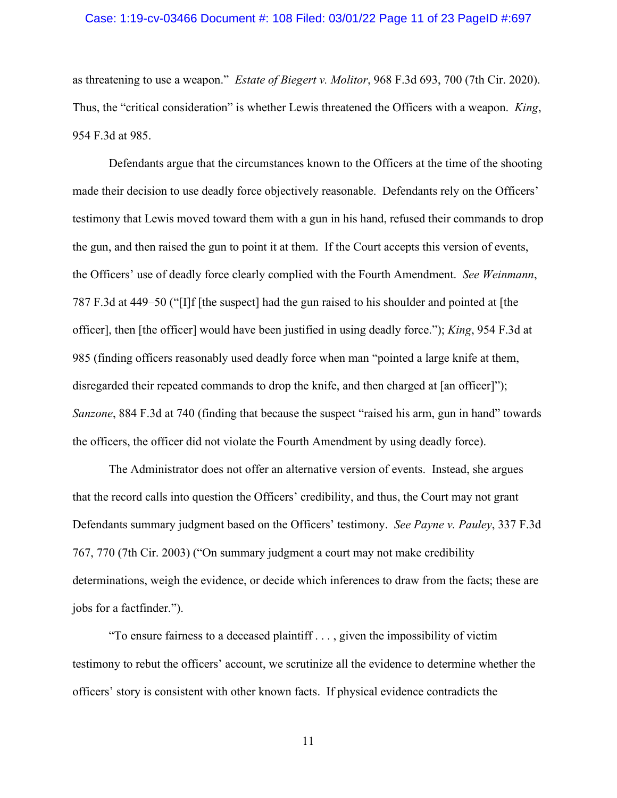#### Case: 1:19-cv-03466 Document #: 108 Filed: 03/01/22 Page 11 of 23 PageID #:697

as threatening to use a weapon." *Estate of Biegert v. Molitor*, 968 F.3d 693, 700 (7th Cir. 2020). Thus, the "critical consideration" is whether Lewis threatened the Officers with a weapon. *King*, 954 F.3d at 985.

Defendants argue that the circumstances known to the Officers at the time of the shooting made their decision to use deadly force objectively reasonable. Defendants rely on the Officers' testimony that Lewis moved toward them with a gun in his hand, refused their commands to drop the gun, and then raised the gun to point it at them. If the Court accepts this version of events, the Officers' use of deadly force clearly complied with the Fourth Amendment. *See Weinmann*, 787 F.3d at 449–50 ("[I]f [the suspect] had the gun raised to his shoulder and pointed at [the officer], then [the officer] would have been justified in using deadly force."); *King*, 954 F.3d at 985 (finding officers reasonably used deadly force when man "pointed a large knife at them, disregarded their repeated commands to drop the knife, and then charged at [an officer]"); *Sanzone*, 884 F.3d at 740 (finding that because the suspect "raised his arm, gun in hand" towards the officers, the officer did not violate the Fourth Amendment by using deadly force).

The Administrator does not offer an alternative version of events. Instead, she argues that the record calls into question the Officers' credibility, and thus, the Court may not grant Defendants summary judgment based on the Officers' testimony. *See Payne v. Pauley*, 337 F.3d 767, 770 (7th Cir. 2003) ("On summary judgment a court may not make credibility determinations, weigh the evidence, or decide which inferences to draw from the facts; these are jobs for a factfinder.").

"To ensure fairness to a deceased plaintiff . . . , given the impossibility of victim testimony to rebut the officers' account, we scrutinize all the evidence to determine whether the officers' story is consistent with other known facts. If physical evidence contradicts the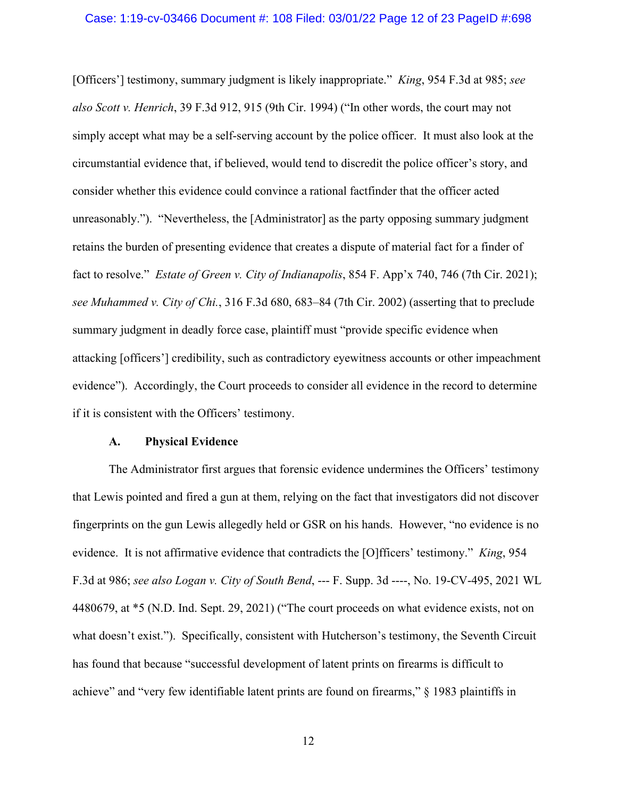[Officers'] testimony, summary judgment is likely inappropriate." *King*, 954 F.3d at 985; *see also Scott v. Henrich*, 39 F.3d 912, 915 (9th Cir. 1994) ("In other words, the court may not simply accept what may be a self-serving account by the police officer. It must also look at the circumstantial evidence that, if believed, would tend to discredit the police officer's story, and consider whether this evidence could convince a rational factfinder that the officer acted unreasonably."). "Nevertheless, the [Administrator] as the party opposing summary judgment retains the burden of presenting evidence that creates a dispute of material fact for a finder of fact to resolve." *Estate of Green v. City of Indianapolis*, 854 F. App'x 740, 746 (7th Cir. 2021); *see Muhammed v. City of Chi.*, 316 F.3d 680, 683–84 (7th Cir. 2002) (asserting that to preclude summary judgment in deadly force case, plaintiff must "provide specific evidence when attacking [officers'] credibility, such as contradictory eyewitness accounts or other impeachment evidence"). Accordingly, the Court proceeds to consider all evidence in the record to determine if it is consistent with the Officers' testimony.

#### **A. Physical Evidence**

The Administrator first argues that forensic evidence undermines the Officers' testimony that Lewis pointed and fired a gun at them, relying on the fact that investigators did not discover fingerprints on the gun Lewis allegedly held or GSR on his hands. However, "no evidence is no evidence. It is not affirmative evidence that contradicts the [O]fficers' testimony." *King*, 954 F.3d at 986; *see also Logan v. City of South Bend*, --- F. Supp. 3d ----, No. 19-CV-495, 2021 WL 4480679, at \*5 (N.D. Ind. Sept. 29, 2021) ("The court proceeds on what evidence exists, not on what doesn't exist."). Specifically, consistent with Hutcherson's testimony, the Seventh Circuit has found that because "successful development of latent prints on firearms is difficult to achieve" and "very few identifiable latent prints are found on firearms," § 1983 plaintiffs in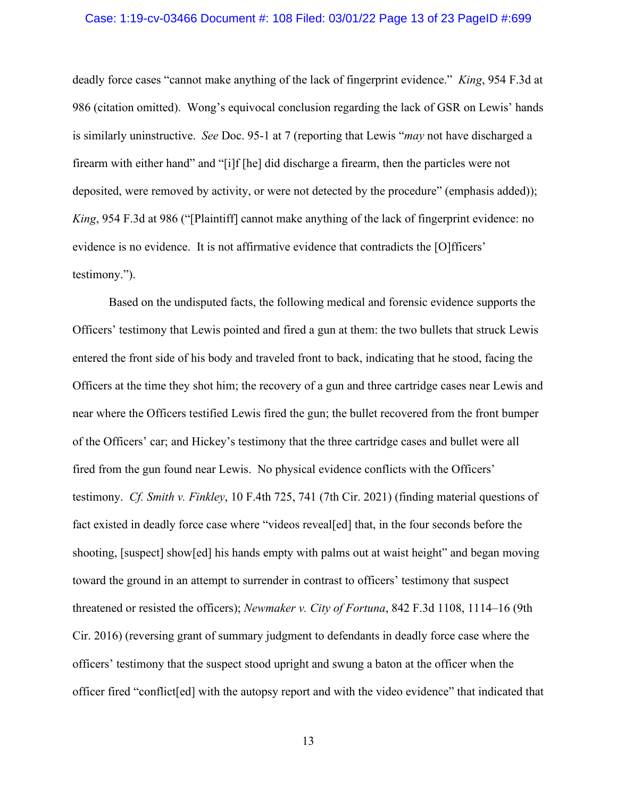#### Case: 1:19-cv-03466 Document #: 108 Filed: 03/01/22 Page 13 of 23 PageID #:699

deadly force cases "cannot make anything of the lack of fingerprint evidence." *King*, 954 F.3d at 986 (citation omitted). Wong's equivocal conclusion regarding the lack of GSR on Lewis' hands is similarly uninstructive. *See* Doc. 95-1 at 7 (reporting that Lewis "*may* not have discharged a firearm with either hand" and "[i]f [he] did discharge a firearm, then the particles were not deposited, were removed by activity, or were not detected by the procedure" (emphasis added)); *King*, 954 F.3d at 986 ("[Plaintiff] cannot make anything of the lack of fingerprint evidence: no evidence is no evidence. It is not affirmative evidence that contradicts the [O]fficers' testimony.").

Based on the undisputed facts, the following medical and forensic evidence supports the Officers' testimony that Lewis pointed and fired a gun at them: the two bullets that struck Lewis entered the front side of his body and traveled front to back, indicating that he stood, facing the Officers at the time they shot him; the recovery of a gun and three cartridge cases near Lewis and near where the Officers testified Lewis fired the gun; the bullet recovered from the front bumper of the Officers' car; and Hickey's testimony that the three cartridge cases and bullet were all fired from the gun found near Lewis. No physical evidence conflicts with the Officers' testimony. *Cf. Smith v. Finkley*, 10 F.4th 725, 741 (7th Cir. 2021) (finding material questions of fact existed in deadly force case where "videos reveal[ed] that, in the four seconds before the shooting, [suspect] show[ed] his hands empty with palms out at waist height" and began moving toward the ground in an attempt to surrender in contrast to officers' testimony that suspect threatened or resisted the officers); *Newmaker v. City of Fortuna*, 842 F.3d 1108, 1114–16 (9th Cir. 2016) (reversing grant of summary judgment to defendants in deadly force case where the officers' testimony that the suspect stood upright and swung a baton at the officer when the officer fired "conflict[ed] with the autopsy report and with the video evidence" that indicated that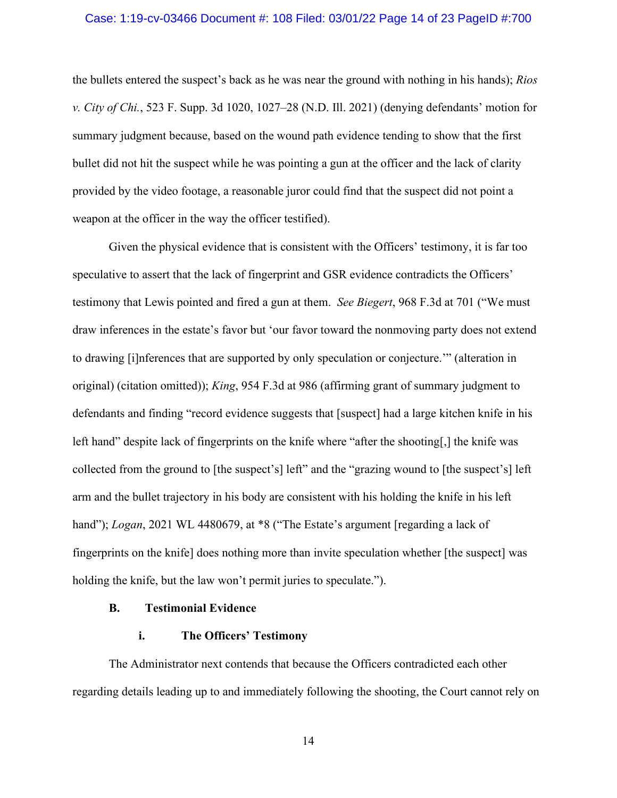#### Case: 1:19-cv-03466 Document #: 108 Filed: 03/01/22 Page 14 of 23 PageID #:700

the bullets entered the suspect's back as he was near the ground with nothing in his hands); *Rios v. City of Chi.*, 523 F. Supp. 3d 1020, 1027–28 (N.D. Ill. 2021) (denying defendants' motion for summary judgment because, based on the wound path evidence tending to show that the first bullet did not hit the suspect while he was pointing a gun at the officer and the lack of clarity provided by the video footage, a reasonable juror could find that the suspect did not point a weapon at the officer in the way the officer testified).

Given the physical evidence that is consistent with the Officers' testimony, it is far too speculative to assert that the lack of fingerprint and GSR evidence contradicts the Officers' testimony that Lewis pointed and fired a gun at them. *See Biegert*, 968 F.3d at 701 ("We must draw inferences in the estate's favor but 'our favor toward the nonmoving party does not extend to drawing [i]nferences that are supported by only speculation or conjecture.'" (alteration in original) (citation omitted)); *King*, 954 F.3d at 986 (affirming grant of summary judgment to defendants and finding "record evidence suggests that [suspect] had a large kitchen knife in his left hand" despite lack of fingerprints on the knife where "after the shooting[,] the knife was collected from the ground to [the suspect's] left" and the "grazing wound to [the suspect's] left arm and the bullet trajectory in his body are consistent with his holding the knife in his left hand"); *Logan*, 2021 WL 4480679, at \*8 ("The Estate's argument [regarding a lack of fingerprints on the knife] does nothing more than invite speculation whether [the suspect] was holding the knife, but the law won't permit juries to speculate.").

# **B. Testimonial Evidence**

# **i. The Officers' Testimony**

The Administrator next contends that because the Officers contradicted each other regarding details leading up to and immediately following the shooting, the Court cannot rely on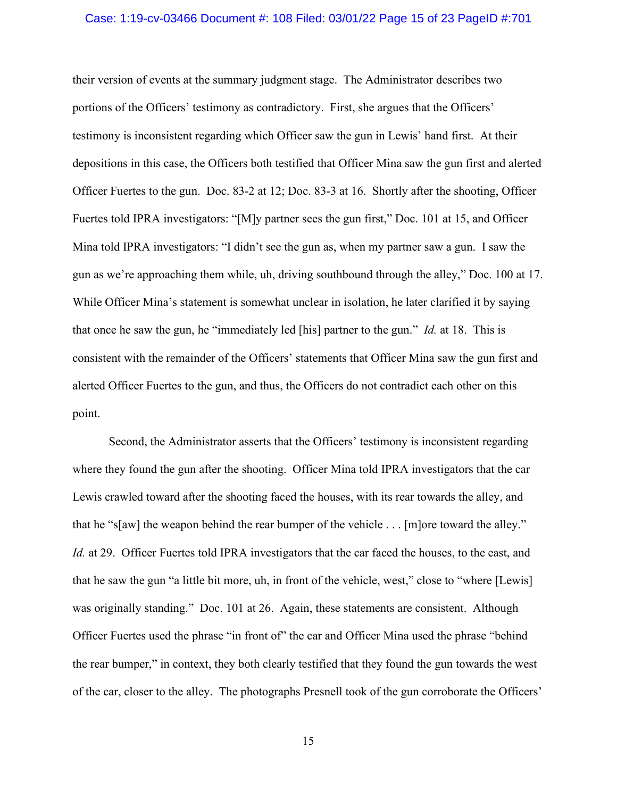#### Case: 1:19-cv-03466 Document #: 108 Filed: 03/01/22 Page 15 of 23 PageID #:701

their version of events at the summary judgment stage. The Administrator describes two portions of the Officers' testimony as contradictory. First, she argues that the Officers' testimony is inconsistent regarding which Officer saw the gun in Lewis' hand first. At their depositions in this case, the Officers both testified that Officer Mina saw the gun first and alerted Officer Fuertes to the gun. Doc. 83-2 at 12; Doc. 83-3 at 16. Shortly after the shooting, Officer Fuertes told IPRA investigators: "[M]y partner sees the gun first," Doc. 101 at 15, and Officer Mina told IPRA investigators: "I didn't see the gun as, when my partner saw a gun. I saw the gun as we're approaching them while, uh, driving southbound through the alley," Doc. 100 at 17. While Officer Mina's statement is somewhat unclear in isolation, he later clarified it by saying that once he saw the gun, he "immediately led [his] partner to the gun." *Id.* at 18. This is consistent with the remainder of the Officers' statements that Officer Mina saw the gun first and alerted Officer Fuertes to the gun, and thus, the Officers do not contradict each other on this point.

Second, the Administrator asserts that the Officers' testimony is inconsistent regarding where they found the gun after the shooting. Officer Mina told IPRA investigators that the car Lewis crawled toward after the shooting faced the houses, with its rear towards the alley, and that he "s[aw] the weapon behind the rear bumper of the vehicle . . . [m]ore toward the alley." *Id.* at 29. Officer Fuertes told IPRA investigators that the car faced the houses, to the east, and that he saw the gun "a little bit more, uh, in front of the vehicle, west," close to "where [Lewis] was originally standing." Doc. 101 at 26. Again, these statements are consistent. Although Officer Fuertes used the phrase "in front of" the car and Officer Mina used the phrase "behind the rear bumper," in context, they both clearly testified that they found the gun towards the west of the car, closer to the alley. The photographs Presnell took of the gun corroborate the Officers'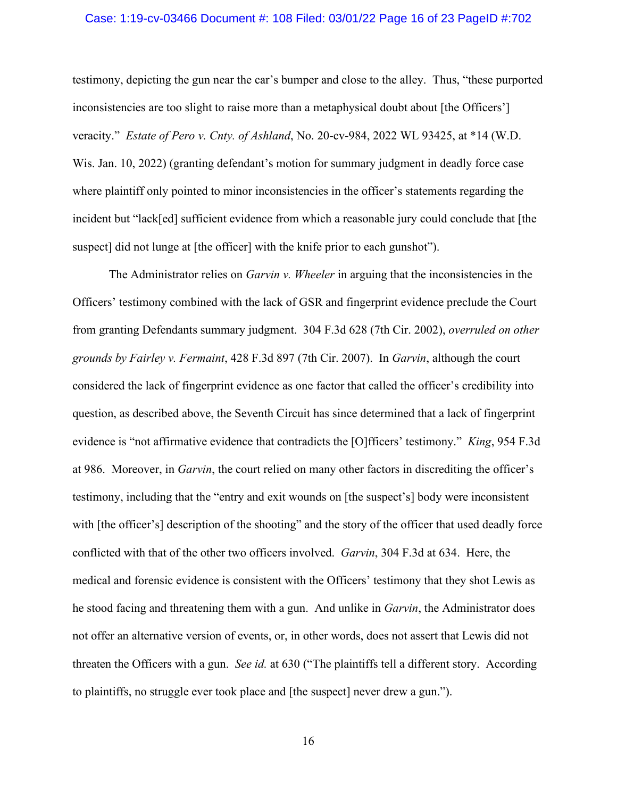### Case: 1:19-cv-03466 Document #: 108 Filed: 03/01/22 Page 16 of 23 PageID #:702

testimony, depicting the gun near the car's bumper and close to the alley. Thus, "these purported inconsistencies are too slight to raise more than a metaphysical doubt about [the Officers'] veracity." *Estate of Pero v. Cnty. of Ashland*, No. 20-cv-984, 2022 WL 93425, at \*14 (W.D. Wis. Jan. 10, 2022) (granting defendant's motion for summary judgment in deadly force case where plaintiff only pointed to minor inconsistencies in the officer's statements regarding the incident but "lack[ed] sufficient evidence from which a reasonable jury could conclude that [the suspect] did not lunge at [the officer] with the knife prior to each gunshot").

The Administrator relies on *Garvin v. Wheeler* in arguing that the inconsistencies in the Officers' testimony combined with the lack of GSR and fingerprint evidence preclude the Court from granting Defendants summary judgment. 304 F.3d 628 (7th Cir. 2002), *overruled on other grounds by Fairley v. Fermaint*, 428 F.3d 897 (7th Cir. 2007). In *Garvin*, although the court considered the lack of fingerprint evidence as one factor that called the officer's credibility into question, as described above, the Seventh Circuit has since determined that a lack of fingerprint evidence is "not affirmative evidence that contradicts the [O]fficers' testimony." *King*, 954 F.3d at 986. Moreover, in *Garvin*, the court relied on many other factors in discrediting the officer's testimony, including that the "entry and exit wounds on [the suspect's] body were inconsistent with [the officer's] description of the shooting" and the story of the officer that used deadly force conflicted with that of the other two officers involved. *Garvin*, 304 F.3d at 634. Here, the medical and forensic evidence is consistent with the Officers' testimony that they shot Lewis as he stood facing and threatening them with a gun. And unlike in *Garvin*, the Administrator does not offer an alternative version of events, or, in other words, does not assert that Lewis did not threaten the Officers with a gun. *See id.* at 630 ("The plaintiffs tell a different story. According to plaintiffs, no struggle ever took place and [the suspect] never drew a gun.").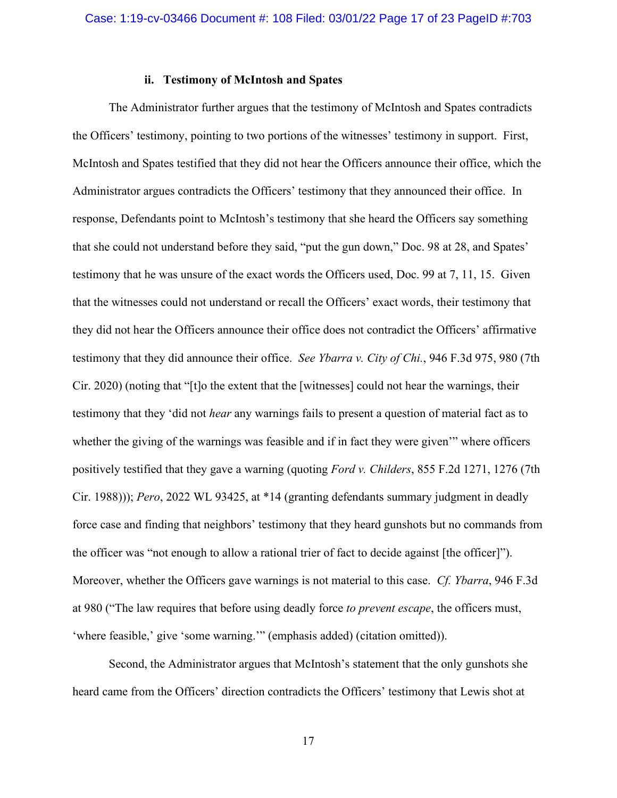# **ii. Testimony of McIntosh and Spates**

The Administrator further argues that the testimony of McIntosh and Spates contradicts the Officers' testimony, pointing to two portions of the witnesses' testimony in support. First, McIntosh and Spates testified that they did not hear the Officers announce their office, which the Administrator argues contradicts the Officers' testimony that they announced their office. In response, Defendants point to McIntosh's testimony that she heard the Officers say something that she could not understand before they said, "put the gun down," Doc. 98 at 28, and Spates' testimony that he was unsure of the exact words the Officers used, Doc. 99 at 7, 11, 15. Given that the witnesses could not understand or recall the Officers' exact words, their testimony that they did not hear the Officers announce their office does not contradict the Officers' affirmative testimony that they did announce their office. *See Ybarra v. City of Chi.*, 946 F.3d 975, 980 (7th Cir. 2020) (noting that "[t]o the extent that the [witnesses] could not hear the warnings, their testimony that they 'did not *hear* any warnings fails to present a question of material fact as to whether the giving of the warnings was feasible and if in fact they were given'" where officers positively testified that they gave a warning (quoting *Ford v. Childers*, 855 F.2d 1271, 1276 (7th Cir. 1988))); *Pero*, 2022 WL 93425, at \*14 (granting defendants summary judgment in deadly force case and finding that neighbors' testimony that they heard gunshots but no commands from the officer was "not enough to allow a rational trier of fact to decide against [the officer]"). Moreover, whether the Officers gave warnings is not material to this case. *Cf. Ybarra*, 946 F.3d at 980 ("The law requires that before using deadly force *to prevent escape*, the officers must, 'where feasible,' give 'some warning.'" (emphasis added) (citation omitted)).

Second, the Administrator argues that McIntosh's statement that the only gunshots she heard came from the Officers' direction contradicts the Officers' testimony that Lewis shot at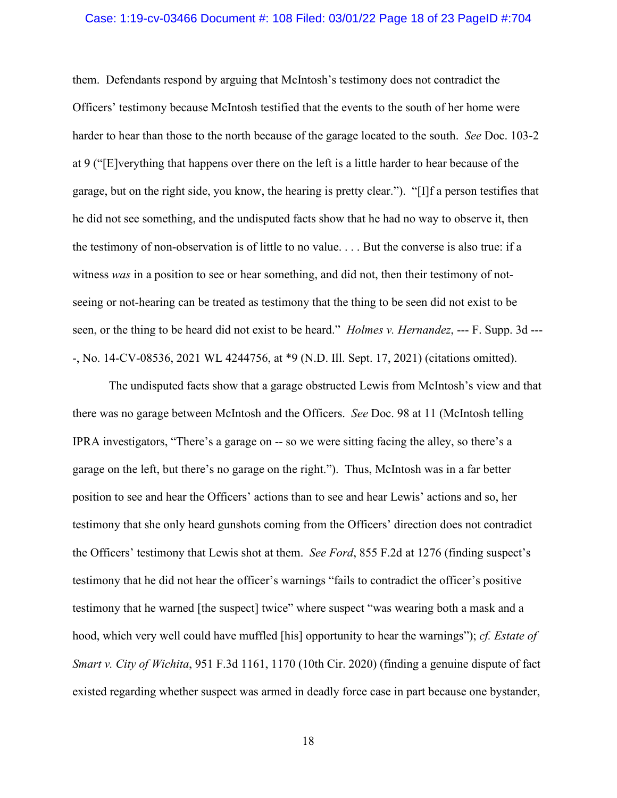### Case: 1:19-cv-03466 Document #: 108 Filed: 03/01/22 Page 18 of 23 PageID #:704

them. Defendants respond by arguing that McIntosh's testimony does not contradict the Officers' testimony because McIntosh testified that the events to the south of her home were harder to hear than those to the north because of the garage located to the south. *See* Doc. 103-2 at 9 ("[E]verything that happens over there on the left is a little harder to hear because of the garage, but on the right side, you know, the hearing is pretty clear."). "[I]f a person testifies that he did not see something, and the undisputed facts show that he had no way to observe it, then the testimony of non-observation is of little to no value. . . . But the converse is also true: if a witness *was* in a position to see or hear something, and did not, then their testimony of notseeing or not-hearing can be treated as testimony that the thing to be seen did not exist to be seen, or the thing to be heard did not exist to be heard." *Holmes v. Hernandez*, --- F. Supp. 3d --- -, No. 14-CV-08536, 2021 WL 4244756, at \*9 (N.D. Ill. Sept. 17, 2021) (citations omitted).

The undisputed facts show that a garage obstructed Lewis from McIntosh's view and that there was no garage between McIntosh and the Officers. *See* Doc. 98 at 11 (McIntosh telling IPRA investigators, "There's a garage on -- so we were sitting facing the alley, so there's a garage on the left, but there's no garage on the right."). Thus, McIntosh was in a far better position to see and hear the Officers' actions than to see and hear Lewis' actions and so, her testimony that she only heard gunshots coming from the Officers' direction does not contradict the Officers' testimony that Lewis shot at them. *See Ford*, 855 F.2d at 1276 (finding suspect's testimony that he did not hear the officer's warnings "fails to contradict the officer's positive testimony that he warned [the suspect] twice" where suspect "was wearing both a mask and a hood, which very well could have muffled [his] opportunity to hear the warnings"); *cf. Estate of Smart v. City of Wichita*, 951 F.3d 1161, 1170 (10th Cir. 2020) (finding a genuine dispute of fact existed regarding whether suspect was armed in deadly force case in part because one bystander,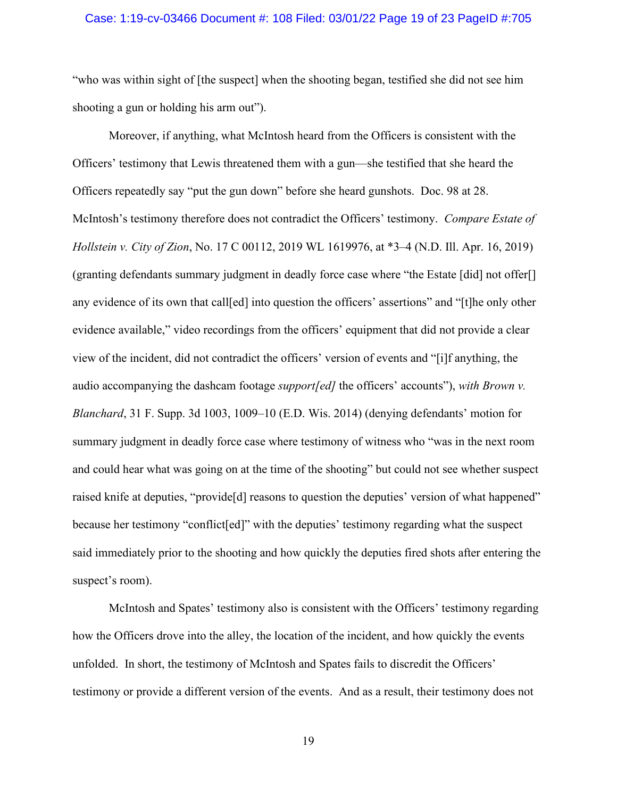### Case: 1:19-cv-03466 Document #: 108 Filed: 03/01/22 Page 19 of 23 PageID #:705

"who was within sight of [the suspect] when the shooting began, testified she did not see him shooting a gun or holding his arm out").

Moreover, if anything, what McIntosh heard from the Officers is consistent with the Officers' testimony that Lewis threatened them with a gun—she testified that she heard the Officers repeatedly say "put the gun down" before she heard gunshots. Doc. 98 at 28. McIntosh's testimony therefore does not contradict the Officers' testimony. *Compare Estate of Hollstein v. City of Zion*, No. 17 C 00112, 2019 WL 1619976, at \*3–4 (N.D. Ill. Apr. 16, 2019) (granting defendants summary judgment in deadly force case where "the Estate [did] not offer[] any evidence of its own that call[ed] into question the officers' assertions" and "[t]he only other evidence available," video recordings from the officers' equipment that did not provide a clear view of the incident, did not contradict the officers' version of events and "[i]f anything, the audio accompanying the dashcam footage *support[ed]* the officers' accounts"), *with Brown v. Blanchard*, 31 F. Supp. 3d 1003, 1009–10 (E.D. Wis. 2014) (denying defendants' motion for summary judgment in deadly force case where testimony of witness who "was in the next room and could hear what was going on at the time of the shooting" but could not see whether suspect raised knife at deputies, "provide[d] reasons to question the deputies' version of what happened" because her testimony "conflict[ed]" with the deputies' testimony regarding what the suspect said immediately prior to the shooting and how quickly the deputies fired shots after entering the suspect's room).

McIntosh and Spates' testimony also is consistent with the Officers' testimony regarding how the Officers drove into the alley, the location of the incident, and how quickly the events unfolded. In short, the testimony of McIntosh and Spates fails to discredit the Officers' testimony or provide a different version of the events. And as a result, their testimony does not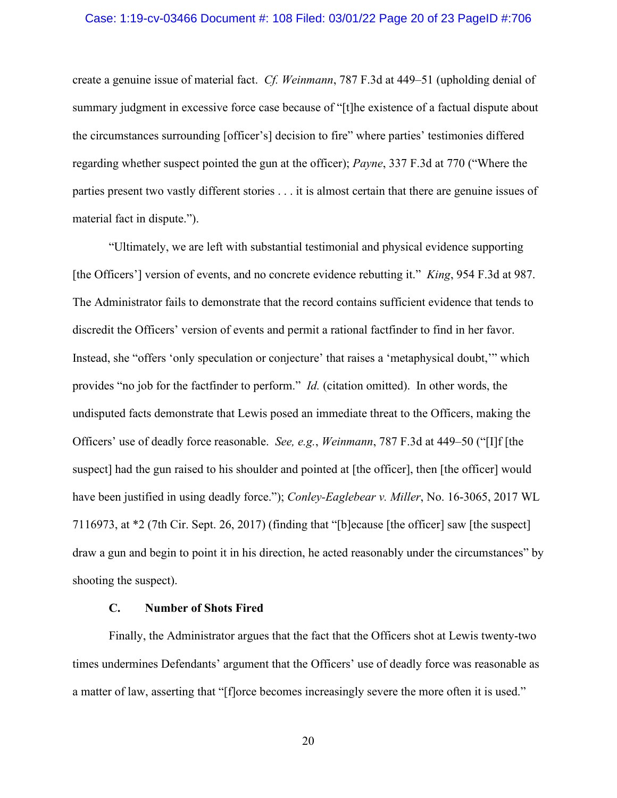#### Case: 1:19-cv-03466 Document #: 108 Filed: 03/01/22 Page 20 of 23 PageID #:706

create a genuine issue of material fact. *Cf. Weinmann*, 787 F.3d at 449–51 (upholding denial of summary judgment in excessive force case because of "[t]he existence of a factual dispute about the circumstances surrounding [officer's] decision to fire" where parties' testimonies differed regarding whether suspect pointed the gun at the officer); *Payne*, 337 F.3d at 770 ("Where the parties present two vastly different stories . . . it is almost certain that there are genuine issues of material fact in dispute.").

"Ultimately, we are left with substantial testimonial and physical evidence supporting [the Officers'] version of events, and no concrete evidence rebutting it." *King*, 954 F.3d at 987. The Administrator fails to demonstrate that the record contains sufficient evidence that tends to discredit the Officers' version of events and permit a rational factfinder to find in her favor. Instead, she "offers 'only speculation or conjecture' that raises a 'metaphysical doubt,'" which provides "no job for the factfinder to perform." *Id.* (citation omitted). In other words, the undisputed facts demonstrate that Lewis posed an immediate threat to the Officers, making the Officers' use of deadly force reasonable. *See, e.g.*, *Weinmann*, 787 F.3d at 449–50 ("[I]f [the suspect] had the gun raised to his shoulder and pointed at [the officer], then [the officer] would have been justified in using deadly force."); *Conley-Eaglebear v. Miller*, No. 16-3065, 2017 WL 7116973, at \*2 (7th Cir. Sept. 26, 2017) (finding that "[b]ecause [the officer] saw [the suspect] draw a gun and begin to point it in his direction, he acted reasonably under the circumstances" by shooting the suspect).

# **C. Number of Shots Fired**

Finally, the Administrator argues that the fact that the Officers shot at Lewis twenty-two times undermines Defendants' argument that the Officers' use of deadly force was reasonable as a matter of law, asserting that "[f]orce becomes increasingly severe the more often it is used."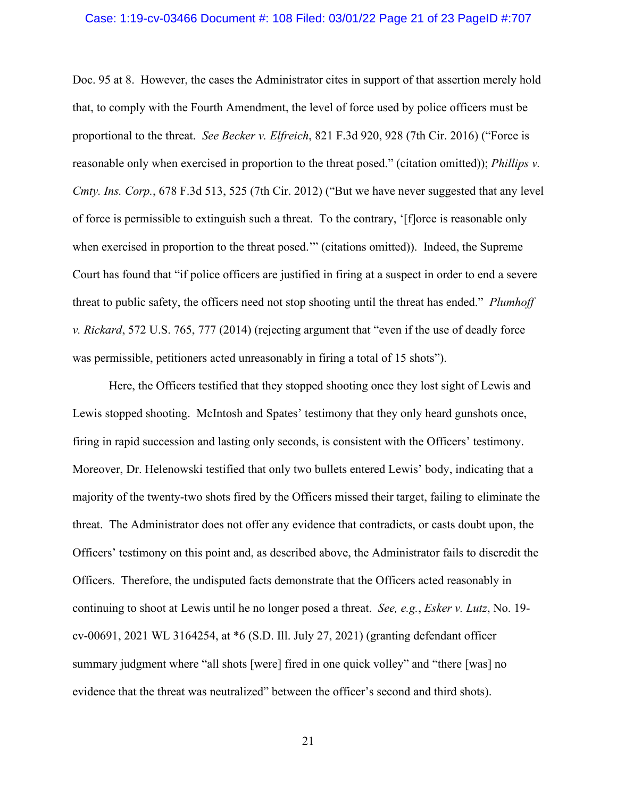### Case: 1:19-cv-03466 Document #: 108 Filed: 03/01/22 Page 21 of 23 PageID #:707

Doc. 95 at 8. However, the cases the Administrator cites in support of that assertion merely hold that, to comply with the Fourth Amendment, the level of force used by police officers must be proportional to the threat. *See Becker v. Elfreich*, 821 F.3d 920, 928 (7th Cir. 2016) ("Force is reasonable only when exercised in proportion to the threat posed." (citation omitted)); *Phillips v. Cmty. Ins. Corp.*, 678 F.3d 513, 525 (7th Cir. 2012) ("But we have never suggested that any level of force is permissible to extinguish such a threat. To the contrary, '[f]orce is reasonable only when exercised in proportion to the threat posed." (citations omitted)). Indeed, the Supreme Court has found that "if police officers are justified in firing at a suspect in order to end a severe threat to public safety, the officers need not stop shooting until the threat has ended." *Plumhoff v. Rickard*, 572 U.S. 765, 777 (2014) (rejecting argument that "even if the use of deadly force was permissible, petitioners acted unreasonably in firing a total of 15 shots").

Here, the Officers testified that they stopped shooting once they lost sight of Lewis and Lewis stopped shooting. McIntosh and Spates' testimony that they only heard gunshots once, firing in rapid succession and lasting only seconds, is consistent with the Officers' testimony. Moreover, Dr. Helenowski testified that only two bullets entered Lewis' body, indicating that a majority of the twenty-two shots fired by the Officers missed their target, failing to eliminate the threat. The Administrator does not offer any evidence that contradicts, or casts doubt upon, the Officers' testimony on this point and, as described above, the Administrator fails to discredit the Officers. Therefore, the undisputed facts demonstrate that the Officers acted reasonably in continuing to shoot at Lewis until he no longer posed a threat. *See, e.g.*, *Esker v. Lutz*, No. 19 cv-00691, 2021 WL 3164254, at \*6 (S.D. Ill. July 27, 2021) (granting defendant officer summary judgment where "all shots [were] fired in one quick volley" and "there [was] no evidence that the threat was neutralized" between the officer's second and third shots).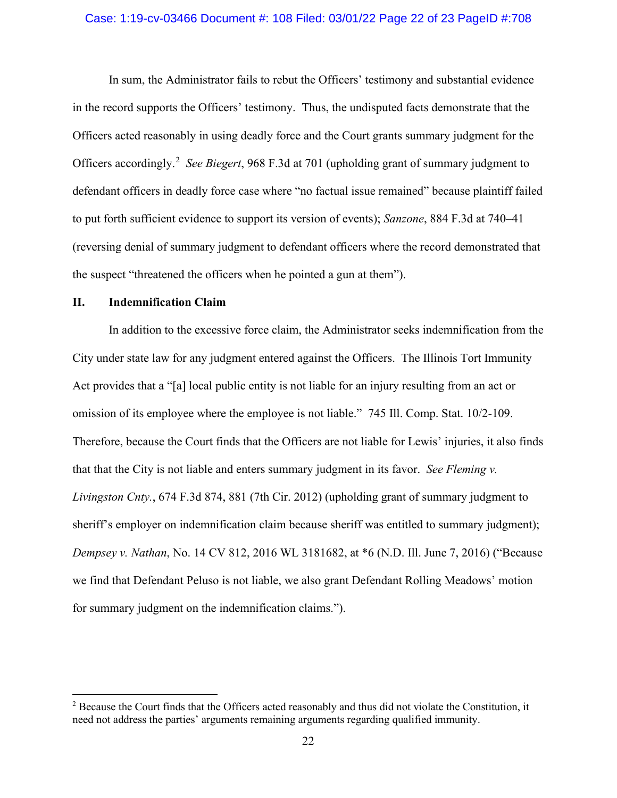#### Case: 1:19-cv-03466 Document #: 108 Filed: 03/01/22 Page 22 of 23 PageID #:708

In sum, the Administrator fails to rebut the Officers' testimony and substantial evidence in the record supports the Officers' testimony. Thus, the undisputed facts demonstrate that the Officers acted reasonably in using deadly force and the Court grants summary judgment for the Officers accordingly. [2](#page-21-0) *See Biegert*, 968 F.3d at 701 (upholding grant of summary judgment to defendant officers in deadly force case where "no factual issue remained" because plaintiff failed to put forth sufficient evidence to support its version of events); *Sanzone*, 884 F.3d at 740–41 (reversing denial of summary judgment to defendant officers where the record demonstrated that the suspect "threatened the officers when he pointed a gun at them").

# **II. Indemnification Claim**

In addition to the excessive force claim, the Administrator seeks indemnification from the City under state law for any judgment entered against the Officers. The Illinois Tort Immunity Act provides that a "[a] local public entity is not liable for an injury resulting from an act or omission of its employee where the employee is not liable." 745 Ill. Comp. Stat. 10/2-109. Therefore, because the Court finds that the Officers are not liable for Lewis' injuries, it also finds that that the City is not liable and enters summary judgment in its favor. *See Fleming v. Livingston Cnty.*, 674 F.3d 874, 881 (7th Cir. 2012) (upholding grant of summary judgment to sheriff's employer on indemnification claim because sheriff was entitled to summary judgment); *Dempsey v. Nathan*, No. 14 CV 812, 2016 WL 3181682, at \*6 (N.D. Ill. June 7, 2016) ("Because we find that Defendant Peluso is not liable, we also grant Defendant Rolling Meadows' motion for summary judgment on the indemnification claims.").

<span id="page-21-0"></span><sup>&</sup>lt;sup>2</sup> Because the Court finds that the Officers acted reasonably and thus did not violate the Constitution, it need not address the parties' arguments remaining arguments regarding qualified immunity.